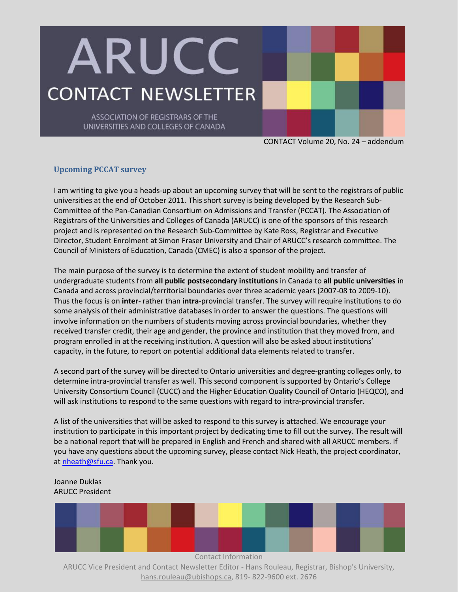## ARUCC **CONTACT NEWSLETTER**

ASSOCIATION OF REGISTRARS OF THE UNIVERSITIES AND COLLEGES OF CANADA

CONTACT Volume 20, No. 24 – addendum

## **Upcoming PCCAT survey**

I am writing to give you a heads-up about an upcoming survey that will be sent to the registrars of public universities at the end of October 2011. This short survey is being developed by the Research Sub-Committee of the Pan-Canadian Consortium on Admissions and Transfer (PCCAT). The Association of Registrars of the Universities and Colleges of Canada (ARUCC) is one of the sponsors of this research project and is represented on the Research Sub-Committee by Kate Ross, Registrar and Executive Director, Student Enrolment at Simon Fraser University and Chair of ARUCC's research committee. The Council of Ministers of Education, Canada (CMEC) is also a sponsor of the project.

The main purpose of the survey is to determine the extent of student mobility and transfer of undergraduate students from **all public postsecondary institutions** in Canada to **all public universities** in Canada and across provincial/territorial boundaries over three academic years (2007-08 to 2009-10). Thus the focus is on **inter***-* rather than **intra***-*provincial transfer. The survey will require institutions to do some analysis of their administrative databases in order to answer the questions. The questions will involve information on the numbers of students moving across provincial boundaries, whether they received transfer credit, their age and gender, the province and institution that they moved from, and program enrolled in at the receiving institution. A question will also be asked about institutions' capacity, in the future, to report on potential additional data elements related to transfer.

A second part of the survey will be directed to Ontario universities and degree-granting colleges only, to determine intra-provincial transfer as well. This second component is supported by Ontario's College University Consortium Council (CUCC) and the Higher Education Quality Council of Ontario (HEQCO), and will ask institutions to respond to the same questions with regard to intra-provincial transfer.

A list of the universities that will be asked to respond to this survey is attached. We encourage your institution to participate in this important project by dedicating time to fill out the survey. The result will be a national report that will be prepared in English and French and shared with all ARUCC members. If you have any questions about the upcoming survey, please contact Nick Heath, the project coordinator, a[t nheath@sfu.ca.](mailto:nheath@sfu.ca) Thank you.

## Joanne Duklas ARUCC President



ARUCC Vice President and Contact Newsletter Editor - Hans Rouleau, Registrar, Bishop's University, hans.rouleau@ubishops.ca, 819- 822-9600 ext. 2676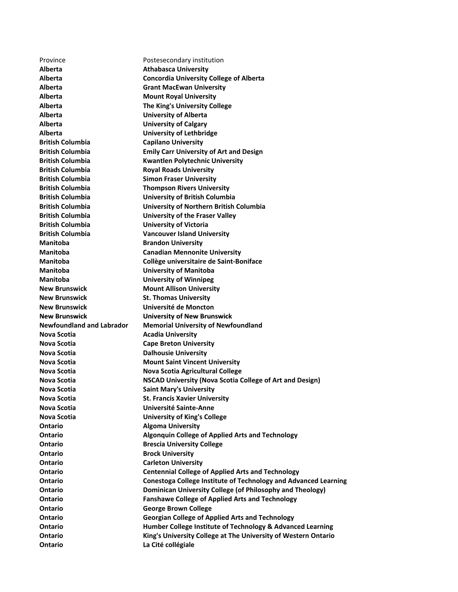**New Brunswick University of New Brunswick**  Province Postesecondary institution **Alberta Athabasca University Alberta Concordia University College of Alberta Alberta Grant MacEwan University Alberta Mount Royal University Alberta The King's University College Alberta University of Alberta Alberta University of Calgary Alberta University of Lethbridge British Columbia Capilano University British Columbia Emily Carr University of Art and Design British Columbia Kwantlen Polytechnic University British Columbia Royal Roads University British Columbia Simon Fraser University British Columbia Thompson Rivers University British Columbia University of British Columbia British Columbia University of Northern British Columbia British Columbia University of the Fraser Valley British Columbia University of Victoria British Columbia Vancouver Island University Manitoba Brandon University Manitoba Canadian Mennonite University Manitoba Collège universitaire de Saint‐Boniface Manitoba University of Manitoba Manitoba University of Winnipeg New Brunswick Mount Allison University New Brunswick St. Thomas University New Brunswick Université de Moncton Newfoundland and Labrador Memorial University of Newfoundland Nova Scotia Acadia University Nova Scotia Cape Breton University Nova Scotia Dalhousie University Nova Scotia Mount Saint Vincent University Nova Scotia Nova Scotia Agricultural College Nova Scotia NSCAD University (Nova Scotia College of Art and Design) Nova Scotia Saint Mary's University Nova Scotia St. Francis Xavier University Nova Scotia Université Sainte‐Anne Nova Scotia University of King's College Ontario Algoma University Ontario Algonquin College of Applied Arts and Technology Ontario Brescia University College Ontario Brock University Ontario Carleton University Ontario Centennial College of Applied Arts and Technology Ontario Conestoga College Institute of Technology and Advanced Learning Ontario Dominican University College (of Philosophy and Theology) Ontario Fanshawe College of Applied Arts and Technology Ontario George Brown College Ontario Georgian College of Applied Arts and Technology Ontario Humber College Institute of Technology & Advanced Learning Ontario King's University College at The University of Western Ontario Ontario La Cité collégiale**